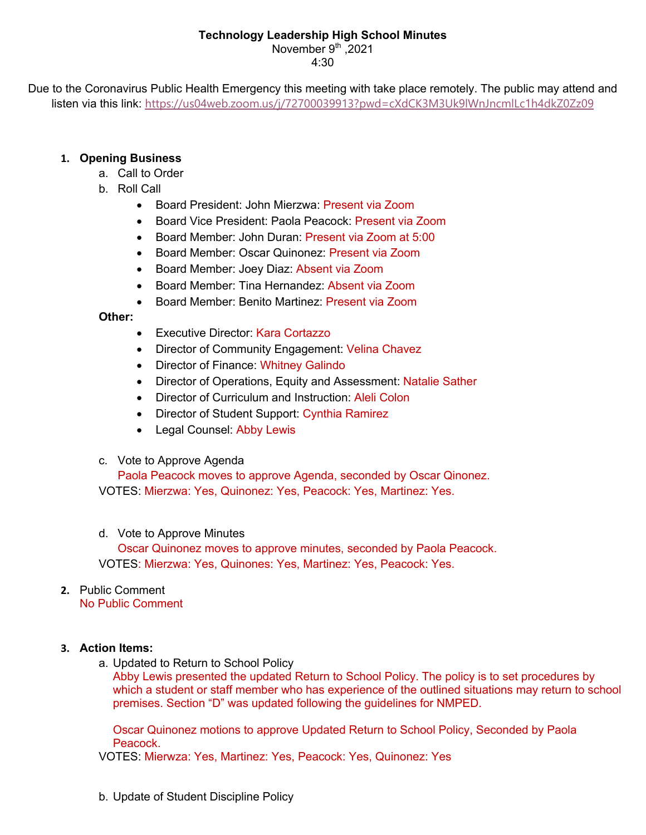### **Technology Leadership High School Minutes**

November  $9<sup>th</sup>$  .2021 4:30

Due to the Coronavirus Public Health Emergency this meeting with take place remotely. The public may attend and listen via this link: https://us04web.zoom.us/j/72700039913?pwd=cXdCK3M3Uk9lWnJncmlLc1h4dkZ0Zz09

## **1. Opening Business**

- a. Call to Order
- b. Roll Call
	- Board President: John Mierzwa: Present via Zoom
	- Board Vice President: Paola Peacock: Present via Zoom
	- Board Member: John Duran: Present via Zoom at 5:00
	- Board Member: Oscar Quinonez: Present via Zoom
	- Board Member: Joey Diaz: Absent via Zoom
	- Board Member: Tina Hernandez: Absent via Zoom
	- Board Member: Benito Martinez: Present via Zoom

## **Other:**

- Executive Director: Kara Cortazzo
- Director of Community Engagement: Velina Chavez
- Director of Finance: Whitney Galindo
- Director of Operations, Equity and Assessment: Natalie Sather
- Director of Curriculum and Instruction: Aleli Colon
- Director of Student Support: Cynthia Ramirez
- Legal Counsel: Abby Lewis
- c. Vote to Approve Agenda

Paola Peacock moves to approve Agenda, seconded by Oscar Qinonez. VOTES: Mierzwa: Yes, Quinonez: Yes, Peacock: Yes, Martinez: Yes.

d. Vote to Approve Minutes

Oscar Quinonez moves to approve minutes, seconded by Paola Peacock. VOTES: Mierzwa: Yes, Quinones: Yes, Martinez: Yes, Peacock: Yes.

# **2.** Public Comment

No Public Comment

## **3. Action Items:**

a. Updated to Return to School Policy

Abby Lewis presented the updated Return to School Policy. The policy is to set procedures by which a student or staff member who has experience of the outlined situations may return to school premises. Section "D" was updated following the guidelines for NMPED.

Oscar Quinonez motions to approve Updated Return to School Policy, Seconded by Paola Peacock.

VOTES: Mierwza: Yes, Martinez: Yes, Peacock: Yes, Quinonez: Yes

b. Update of Student Discipline Policy